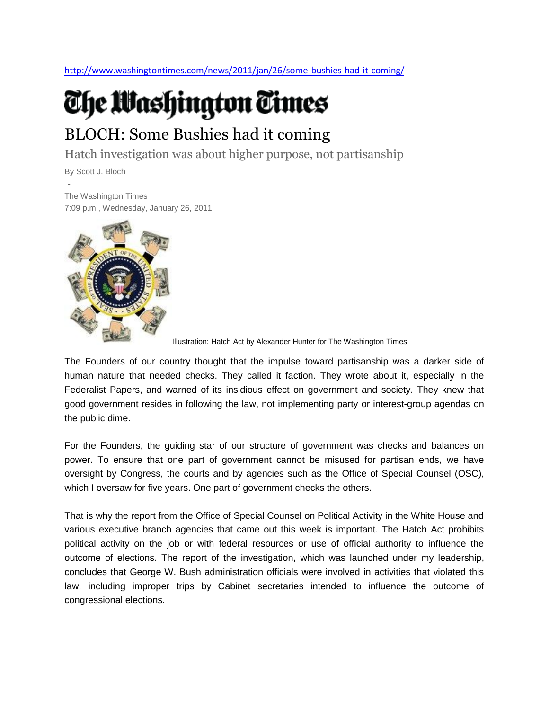<http://www.washingtontimes.com/news/2011/jan/26/some-bushies-had-it-coming/>

## The Washington Times

## BLOCH: Some Bushies had it coming

Hatch investigation was about higher purpose, not partisanship

By Scott J. Bloch

- The Washington Times 7:09 p.m., Wednesday, January 26, 2011



Illustration: Hatch Act by Alexander Hunter for The Washington Times

The Founders of our country thought that the impulse toward partisanship was a darker side of human nature that needed checks. They called it faction. They wrote about it, especially in the Federalist Papers, and warned of its insidious effect on government and society. They knew that good government resides in following the law, not implementing party or interest-group agendas on the public dime.

For the Founders, the guiding star of our structure of government was checks and balances on power. To ensure that one part of government cannot be misused for partisan ends, we have oversight by Congress, the courts and by agencies such as the Office of Special Counsel (OSC), which I oversaw for five years. One part of government checks the others.

That is why the report from the Office of Special Counsel on Political Activity in the White House and various executive branch agencies that came out this week is important. The Hatch Act prohibits political activity on the job or with federal resources or use of official authority to influence the outcome of elections. The report of the investigation, which was launched under my leadership, concludes that George W. Bush administration officials were involved in activities that violated this law, including improper trips by Cabinet secretaries intended to influence the outcome of congressional elections.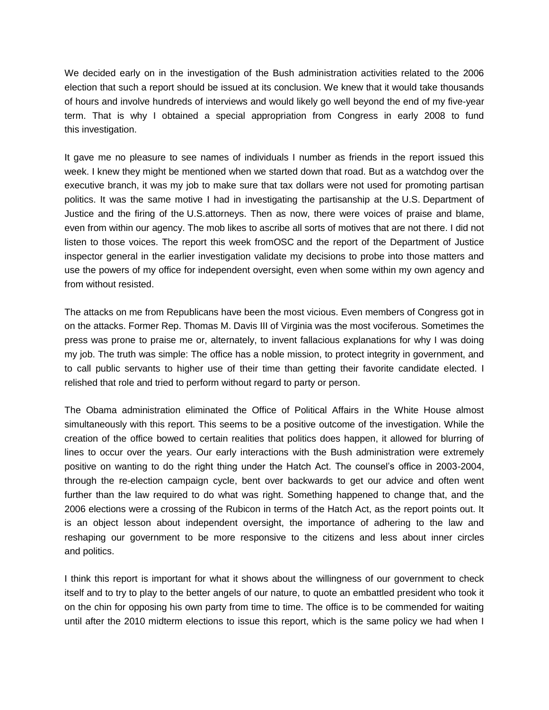We decided early on in the investigation of the Bush administration activities related to the 2006 election that such a report should be issued at its conclusion. We knew that it would take thousands of hours and involve hundreds of interviews and would likely go well beyond the end of my five-year term. That is why I obtained a special appropriation from Congress in early 2008 to fund this investigation.

It gave me no pleasure to see names of individuals I number as friends in the report issued this week. I knew they might be mentioned when we started down that road. But as a watchdog over the executive branch, it was my job to make sure that tax dollars were not used for promoting partisan politics. It was the same motive I had in investigating the partisanship at the U.S. Department of Justice and the firing of the U.S.attorneys. Then as now, there were voices of praise and blame, even from within our agency. The mob likes to ascribe all sorts of motives that are not there. I did not listen to those voices. The report this week fromOSC and the report of the Department of Justice inspector general in the earlier investigation validate my decisions to probe into those matters and use the powers of my office for independent oversight, even when some within my own agency and from without resisted.

The attacks on me from Republicans have been the most vicious. Even members of Congress got in on the attacks. Former Rep. Thomas M. Davis III of Virginia was the most vociferous. Sometimes the press was prone to praise me or, alternately, to invent fallacious explanations for why I was doing my job. The truth was simple: The office has a noble mission, to protect integrity in government, and to call public servants to higher use of their time than getting their favorite candidate elected. I relished that role and tried to perform without regard to party or person.

The Obama administration eliminated the Office of Political Affairs in the White House almost simultaneously with this report. This seems to be a positive outcome of the investigation. While the creation of the office bowed to certain realities that politics does happen, it allowed for blurring of lines to occur over the years. Our early interactions with the Bush administration were extremely positive on wanting to do the right thing under the Hatch Act. The counsel's office in 2003-2004, through the re-election campaign cycle, bent over backwards to get our advice and often went further than the law required to do what was right. Something happened to change that, and the 2006 elections were a crossing of the Rubicon in terms of the Hatch Act, as the report points out. It is an object lesson about independent oversight, the importance of adhering to the law and reshaping our government to be more responsive to the citizens and less about inner circles and politics.

I think this report is important for what it shows about the willingness of our government to check itself and to try to play to the better angels of our nature, to quote an embattled president who took it on the chin for opposing his own party from time to time. The office is to be commended for waiting until after the 2010 midterm elections to issue this report, which is the same policy we had when I